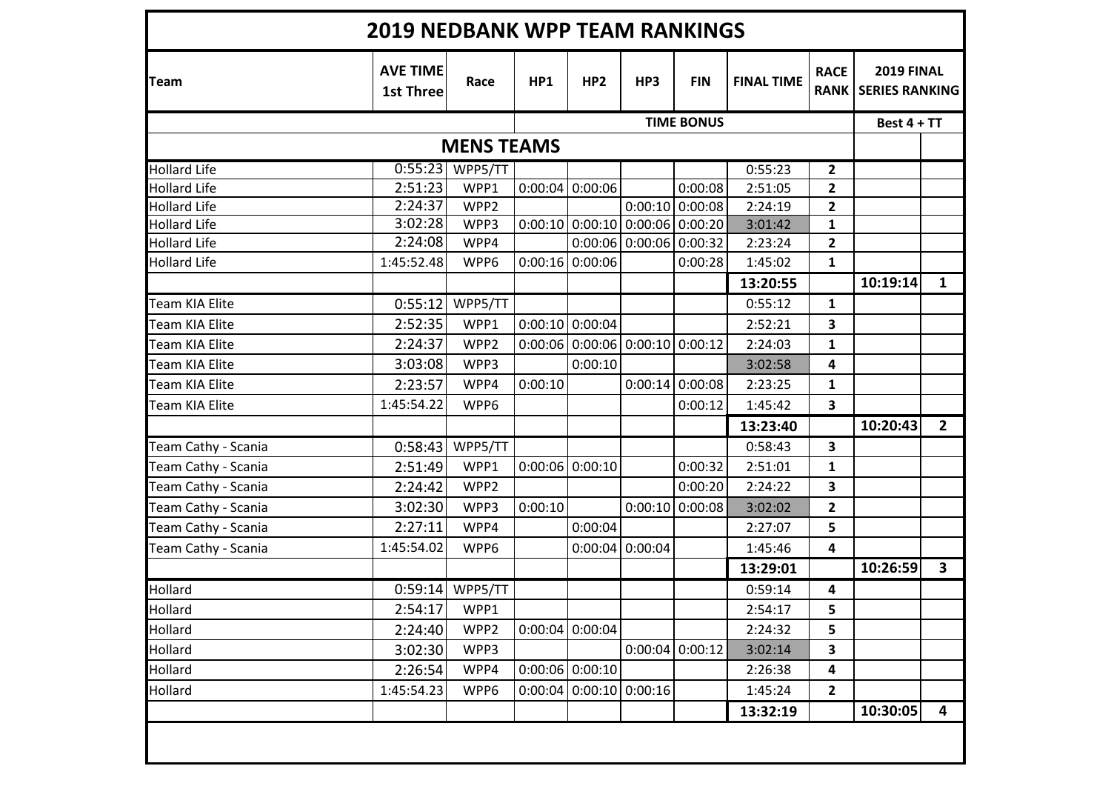| Team                  | <b>AVE TIME</b><br><b>1st Three</b> | Race              | HP1     | HP <sub>2</sub>   | HP3                               | <b>FIN</b>        | <b>FINAL TIME</b> | <b>RACE</b>             | <b>2019 FINAL</b><br><b>RANK   SERIES RANKING</b> |                         |
|-----------------------|-------------------------------------|-------------------|---------|-------------------|-----------------------------------|-------------------|-------------------|-------------------------|---------------------------------------------------|-------------------------|
|                       |                                     |                   |         |                   |                                   | <b>TIME BONUS</b> |                   |                         | Best 4 + TT                                       |                         |
|                       |                                     | <b>MENS TEAMS</b> |         |                   |                                   |                   |                   |                         |                                                   |                         |
| <b>Hollard Life</b>   | 0:55:23                             | WPP5/TT           |         |                   |                                   |                   | 0:55:23           | $\overline{2}$          |                                                   |                         |
| <b>Hollard Life</b>   | 2:51:23                             | WPP1              | 0:00:04 | 0:00:06           |                                   | 0:00:08           | 2:51:05           | 2                       |                                                   |                         |
| <b>Hollard Life</b>   | 2:24:37                             | WPP2              |         |                   |                                   | $0:00:10$ 0:00:08 | 2:24:19           | $\overline{2}$          |                                                   |                         |
| <b>Hollard Life</b>   | 3:02:28                             | WPP3              |         |                   | $0:00:10$ 0:00:10 0:00:06 0:00:20 |                   | 3:01:42           | $\mathbf{1}$            |                                                   |                         |
| <b>Hollard Life</b>   | 2:24:08                             | WPP4              |         |                   | $0:00:06$   $0:00:06$   $0:00:32$ |                   | 2:23:24           | $\overline{\mathbf{2}}$ |                                                   |                         |
| <b>Hollard Life</b>   | 1:45:52.48                          | WPP6              |         | $0:00:16$ 0:00:06 |                                   | 0:00:28           | 1:45:02           | $\mathbf{1}$            |                                                   |                         |
|                       |                                     |                   |         |                   |                                   |                   | 13:20:55          |                         | 10:19:14                                          | $\mathbf{1}$            |
| <b>Team KIA Elite</b> | 0:55:12                             | WPP5/TT           |         |                   |                                   |                   | 0:55:12           | $\mathbf{1}$            |                                                   |                         |
| Team KIA Elite        | 2:52:35                             | WPP1              |         | $0:00:10$ 0:00:04 |                                   |                   | 2:52:21           | 3                       |                                                   |                         |
| <b>Team KIA Elite</b> | 2:24:37                             | WPP2              |         |                   | $0:00:06$ 0:00:06 0:00:10 0:00:12 |                   | 2:24:03           | 1                       |                                                   |                         |
| Team KIA Elite        | 3:03:08                             | WPP3              |         | 0:00:10           |                                   |                   | 3:02:58           | 4                       |                                                   |                         |
| <b>Team KIA Elite</b> | 2:23:57                             | WPP4              | 0:00:10 |                   |                                   | $0:00:14$ 0:00:08 | 2:23:25           | 1                       |                                                   |                         |
| Team KIA Elite        | 1:45:54.22                          | WPP6              |         |                   |                                   | 0:00:12           | 1:45:42           | 3                       |                                                   |                         |
|                       |                                     |                   |         |                   |                                   |                   | 13:23:40          |                         | 10:20:43                                          | $\overline{2}$          |
| Team Cathy - Scania   | 0:58:43                             | WPP5/TT           |         |                   |                                   |                   | 0:58:43           | 3                       |                                                   |                         |
| Team Cathy - Scania   | 2:51:49                             | WPP1              |         | $0:00:06$ 0:00:10 |                                   | 0:00:32           | 2:51:01           | 1                       |                                                   |                         |
| Team Cathy - Scania   | 2:24:42                             | WPP2              |         |                   |                                   | 0:00:20           | 2:24:22           | 3                       |                                                   |                         |
| Team Cathy - Scania   | 3:02:30                             | WPP3              | 0:00:10 |                   |                                   | $0:00:10$ 0:00:08 | 3:02:02           | $\mathbf{2}$            |                                                   |                         |
| Team Cathy - Scania   | 2:27:11                             | WPP4              |         | 0:00:04           |                                   |                   | 2:27:07           | 5                       |                                                   |                         |
| Team Cathy - Scania   | 1:45:54.02                          | WPP6              |         |                   | $0:00:04$ 0:00:04                 |                   | 1:45:46           | 4                       |                                                   |                         |
|                       |                                     |                   |         |                   |                                   |                   | 13:29:01          |                         | 10:26:59                                          | $\overline{\mathbf{3}}$ |
| Hollard               |                                     | $0:59:14$ WPP5/TT |         |                   |                                   |                   | 0:59:14           | 4                       |                                                   |                         |
| Hollard               | 2:54:17                             | WPP1              |         |                   |                                   |                   | 2:54:17           | 5                       |                                                   |                         |
| Hollard               | 2:24:40                             | WPP2              |         | $0:00:04$ 0:00:04 |                                   |                   | 2:24:32           | 5                       |                                                   |                         |
| Hollard               | 3:02:30                             | WPP3              |         |                   |                                   | $0:00:04$ 0:00:12 | 3:02:14           | 3                       |                                                   |                         |
| Hollard               | 2:26:54                             | WPP4              |         | $0:00:06$ 0:00:10 |                                   |                   | 2:26:38           | 4                       |                                                   |                         |
| Hollard               | 1:45:54.23                          | WPP6              | 0:00:04 | $0:00:10$ 0:00:16 |                                   |                   | 1:45:24           | $\overline{2}$          |                                                   |                         |
|                       |                                     |                   |         |                   |                                   |                   | 13:32:19          |                         | 10:30:05                                          | $\overline{4}$          |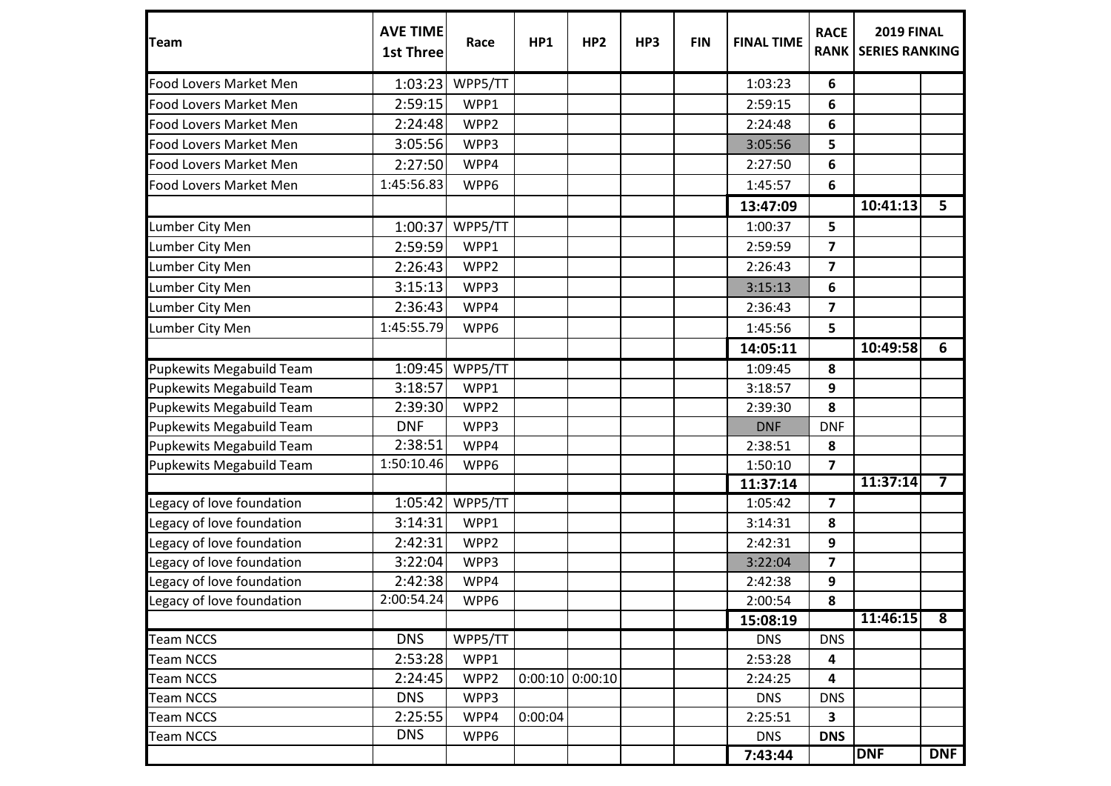| <b>Team</b>                     | <b>AVE TIME</b><br><b>1st Three</b> | Race    | HP1     | HP <sub>2</sub> | HP3 | <b>FIN</b> | <b>FINAL TIME</b> | <b>RACE</b><br><b>RANK</b> | <b>2019 FINAL</b><br><b>SERIES RANKING</b> |                         |
|---------------------------------|-------------------------------------|---------|---------|-----------------|-----|------------|-------------------|----------------------------|--------------------------------------------|-------------------------|
| <b>Food Lovers Market Men</b>   | 1:03:23                             | WPP5/TT |         |                 |     |            | 1:03:23           | 6                          |                                            |                         |
| Food Lovers Market Men          | 2:59:15                             | WPP1    |         |                 |     |            | 2:59:15           | 6                          |                                            |                         |
| Food Lovers Market Men          | 2:24:48                             | WPP2    |         |                 |     |            | 2:24:48           | 6                          |                                            |                         |
| Food Lovers Market Men          | 3:05:56                             | WPP3    |         |                 |     |            | 3:05:56           | 5                          |                                            |                         |
| <b>Food Lovers Market Men</b>   | 2:27:50                             | WPP4    |         |                 |     |            | 2:27:50           | 6                          |                                            |                         |
| Food Lovers Market Men          | 1:45:56.83                          | WPP6    |         |                 |     |            | 1:45:57           | 6                          |                                            |                         |
|                                 |                                     |         |         |                 |     |            | 13:47:09          |                            | 10:41:13                                   | 5                       |
| Lumber City Men                 | 1:00:37                             | WPP5/TT |         |                 |     |            | 1:00:37           | 5                          |                                            |                         |
| Lumber City Men                 | 2:59:59                             | WPP1    |         |                 |     |            | 2:59:59           | $\overline{\mathbf{z}}$    |                                            |                         |
| Lumber City Men                 | 2:26:43                             | WPP2    |         |                 |     |            | 2:26:43           | $\overline{\mathbf{z}}$    |                                            |                         |
| Lumber City Men                 | 3:15:13                             | WPP3    |         |                 |     |            | 3:15:13           | 6                          |                                            |                         |
| Lumber City Men                 | 2:36:43                             | WPP4    |         |                 |     |            | 2:36:43           | $\overline{\mathbf{z}}$    |                                            |                         |
| Lumber City Men                 | 1:45:55.79                          | WPP6    |         |                 |     |            | 1:45:56           | 5                          |                                            |                         |
|                                 |                                     |         |         |                 |     |            | 14:05:11          |                            | 10:49:58                                   | 6                       |
| Pupkewits Megabuild Team        | 1:09:45                             | WPP5/TT |         |                 |     |            | 1:09:45           | 8                          |                                            |                         |
| <b>Pupkewits Megabuild Team</b> | 3:18:57                             | WPP1    |         |                 |     |            | 3:18:57           | 9                          |                                            |                         |
| <b>Pupkewits Megabuild Team</b> | 2:39:30                             | WPP2    |         |                 |     |            | 2:39:30           | 8                          |                                            |                         |
| <b>Pupkewits Megabuild Team</b> | <b>DNF</b>                          | WPP3    |         |                 |     |            | <b>DNF</b>        | <b>DNF</b>                 |                                            |                         |
| Pupkewits Megabuild Team        | 2:38:51                             | WPP4    |         |                 |     |            | 2:38:51           | 8                          |                                            |                         |
| Pupkewits Megabuild Team        | 1:50:10.46                          | WPP6    |         |                 |     |            | 1:50:10           | $\overline{\mathbf{z}}$    |                                            |                         |
|                                 |                                     |         |         |                 |     |            | 11:37:14          |                            | 11:37:14                                   | $\overline{\mathbf{7}}$ |
| Legacy of love foundation       | 1:05:42                             | WPP5/TT |         |                 |     |            | 1:05:42           | $\overline{\mathbf{z}}$    |                                            |                         |
| Legacy of love foundation       | 3:14:31                             | WPP1    |         |                 |     |            | 3:14:31           | 8                          |                                            |                         |
| Legacy of love foundation       | 2:42:31                             | WPP2    |         |                 |     |            | 2:42:31           | 9                          |                                            |                         |
| Legacy of love foundation       | 3:22:04                             | WPP3    |         |                 |     |            | 3:22:04           | $\overline{\mathbf{z}}$    |                                            |                         |
| Legacy of love foundation       | 2:42:38                             | WPP4    |         |                 |     |            | 2:42:38           | 9                          |                                            |                         |
| Legacy of love foundation       | 2:00:54.24                          | WPP6    |         |                 |     |            | 2:00:54           | 8                          |                                            |                         |
|                                 |                                     |         |         |                 |     |            | 15:08:19          |                            | 11:46:15                                   | $\overline{\mathbf{8}}$ |
| <b>Team NCCS</b>                | <b>DNS</b>                          | WPP5/TT |         |                 |     |            | <b>DNS</b>        | <b>DNS</b>                 |                                            |                         |
| <b>Team NCCS</b>                | 2:53:28                             | WPP1    |         |                 |     |            | 2:53:28           | 4                          |                                            |                         |
| <b>Team NCCS</b>                | 2:24:45                             | WPP2    | 0:00:10 | 0:00:10         |     |            | 2:24:25           | 4                          |                                            |                         |
| <b>Team NCCS</b>                | <b>DNS</b>                          | WPP3    |         |                 |     |            | <b>DNS</b>        | <b>DNS</b>                 |                                            |                         |
| <b>Team NCCS</b>                | 2:25:55                             | WPP4    | 0:00:04 |                 |     |            | 2:25:51           | $\overline{\mathbf{3}}$    |                                            |                         |
| <b>Team NCCS</b>                | <b>DNS</b>                          | WPP6    |         |                 |     |            | <b>DNS</b>        | <b>DNS</b>                 |                                            |                         |
|                                 |                                     |         |         |                 |     |            | 7:43:44           |                            | <b>DNF</b>                                 | <b>DNF</b>              |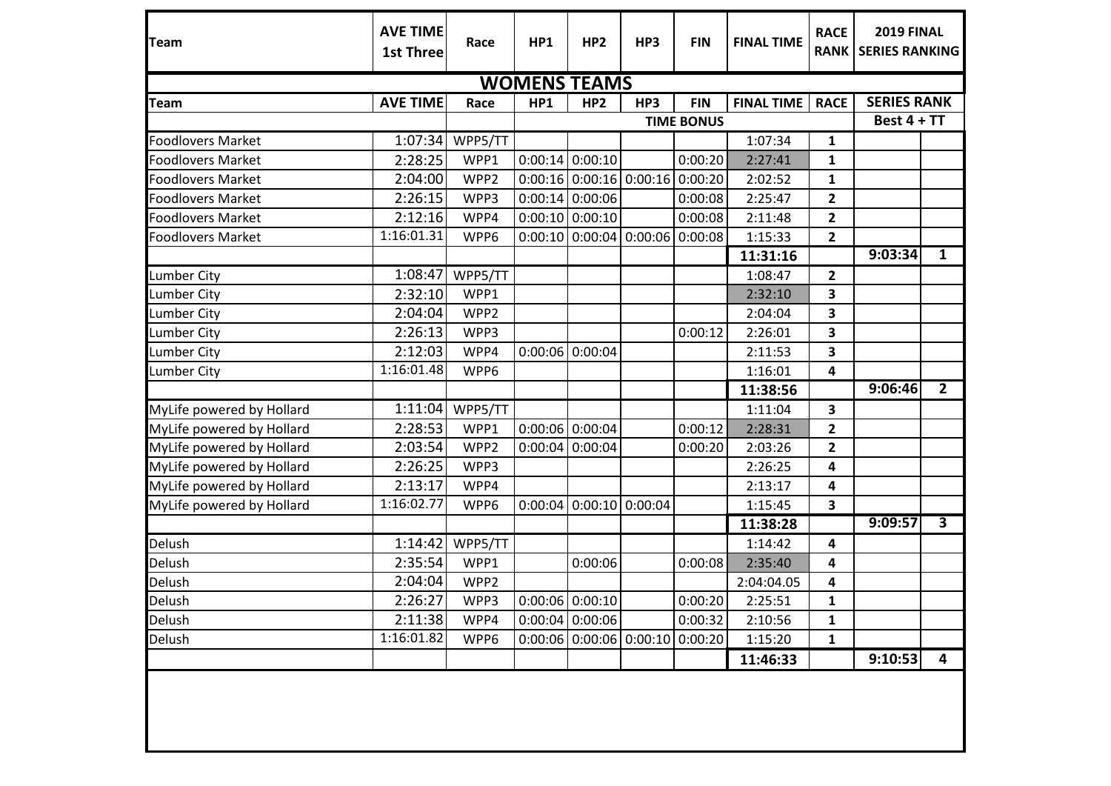| <b>Team</b>               | <b>AVE TIME</b><br><b>1st Three</b> | Race    | HP1     | HP <sub>2</sub>           | HP3                               | <b>FIN</b>  | <b>FINAL TIME</b> | <b>RACE</b><br><b>RANK</b> | <b>2019 FINAL</b><br><b>SERIES RANKING</b> |                         |
|---------------------------|-------------------------------------|---------|---------|---------------------------|-----------------------------------|-------------|-------------------|----------------------------|--------------------------------------------|-------------------------|
| <b>WOMENS TEAMS</b>       |                                     |         |         |                           |                                   |             |                   |                            |                                            |                         |
| <b>Team</b>               | <b>AVE TIME</b>                     | Race    | HP1     | HP <sub>2</sub>           | HP3                               | <b>FIN</b>  | <b>FINAL TIME</b> | <b>RACE</b>                | <b>SERIES RANK</b>                         |                         |
|                           |                                     |         |         | <b>TIME BONUS</b>         |                                   | Best 4 + TT |                   |                            |                                            |                         |
| <b>Foodlovers Market</b>  | 1:07:34                             | WPP5/TT |         |                           |                                   |             | 1:07:34           | 1                          |                                            |                         |
| <b>Foodlovers Market</b>  | 2:28:25                             | WPP1    |         | $0:00:14$ 0:00:10         |                                   | 0:00:20     | 2:27:41           | 1                          |                                            |                         |
| <b>Foodlovers Market</b>  | 2:04:00                             | WPP2    |         |                           | $0:00:16$ 0:00:16 0:00:16 0:00:20 |             | 2:02:52           | $\mathbf 1$                |                                            |                         |
| <b>Foodlovers Market</b>  | 2:26:15                             | WPP3    |         | $0:00:14$ 0:00:06         |                                   | 0:00:08     | 2:25:47           | $\overline{\mathbf{2}}$    |                                            |                         |
| <b>Foodlovers Market</b>  | 2:12:16                             | WPP4    |         | $0:00:10$ 0:00:10         |                                   | 0:00:08     | 2:11:48           | $\overline{\mathbf{2}}$    |                                            |                         |
| <b>Foodlovers Market</b>  | 1:16:01.31                          | WPP6    |         | $0:00:10$ 0:00:04         | $0:00:06$ 0:00:08                 |             | 1:15:33           | $\overline{\mathbf{2}}$    |                                            |                         |
|                           |                                     |         |         |                           |                                   |             | 11:31:16          |                            | 9:03:34                                    | $\overline{1}$          |
| <b>Lumber City</b>        | 1:08:47                             | WPP5/TT |         |                           |                                   |             | 1:08:47           | $\overline{2}$             |                                            |                         |
| <b>Lumber City</b>        | 2:32:10                             | WPP1    |         |                           |                                   |             | 2:32:10           | 3                          |                                            |                         |
| <b>Lumber City</b>        | 2:04:04                             | WPP2    |         |                           |                                   |             | 2:04:04           | 3                          |                                            |                         |
| <b>Lumber City</b>        | 2:26:13                             | WPP3    |         |                           |                                   | 0:00:12     | 2:26:01           | 3                          |                                            |                         |
| Lumber City               | 2:12:03                             | WPP4    |         | $0:00:06$ 0:00:04         |                                   |             | 2:11:53           | 3                          |                                            |                         |
| <b>Lumber City</b>        | 1:16:01.48                          | WPP6    |         |                           |                                   |             | 1:16:01           | 4                          |                                            |                         |
|                           |                                     |         |         |                           |                                   |             | 11:38:56          |                            | 9:06:46                                    | $\overline{2}$          |
| MyLife powered by Hollard | 1:11:04                             | WPP5/TT |         |                           |                                   |             | 1:11:04           | $\mathbf{3}$               |                                            |                         |
| MyLife powered by Hollard | 2:28:53                             | WPP1    |         | $0:00:06$ 0:00:04         |                                   | 0:00:12     | 2:28:31           | $\mathbf{2}$               |                                            |                         |
| MyLife powered by Hollard | 2:03:54                             | WPP2    |         | $0:00:04$ 0:00:04         |                                   | 0:00:20     | 2:03:26           | $\overline{\mathbf{2}}$    |                                            |                         |
| MyLife powered by Hollard | 2:26:25                             | WPP3    |         |                           |                                   |             | 2:26:25           | 4                          |                                            |                         |
| MyLife powered by Hollard | 2:13:17                             | WPP4    |         |                           |                                   |             | 2:13:17           | 4                          |                                            |                         |
| MyLife powered by Hollard | 1:16:02.77                          | WPP6    | 0:00:04 | 0:00:10                   | 0:00:04                           |             | 1:15:45           | 3                          |                                            |                         |
|                           |                                     |         |         |                           |                                   |             | 11:38:28          |                            | 9:09:57                                    | $\overline{\mathbf{3}}$ |
| Delush                    | 1:14:42                             | WPP5/TT |         |                           |                                   |             | 1:14:42           | 4                          |                                            |                         |
| Delush                    | 2:35:54                             | WPP1    |         | 0:00:06                   |                                   | 0:00:08     | 2:35:40           | 4                          |                                            |                         |
| Delush                    | 2:04:04                             | WPP2    |         |                           |                                   |             | 2:04:04.05        | 4                          |                                            |                         |
| Delush                    | 2:26:27                             | WPP3    |         | $0:00:06$ 0:00:10         |                                   | 0:00:20     | 2:25:51           | 1                          |                                            |                         |
| Delush                    | 2:11:38                             | WPP4    |         | $0:00:04$ 0:00:06         |                                   | 0:00:32     | 2:10:56           | $\mathbf{1}$               |                                            |                         |
| Delush                    | 1:16:01.82                          | WPP6    |         | $0:00:06$ 0:00:06 0:00:10 |                                   | 0:00:20     | 1:15:20           | $\mathbf 1$                |                                            |                         |
|                           |                                     |         |         |                           |                                   |             | 11:46:33          |                            | 9:10:53                                    | $\overline{\mathbf{4}}$ |
|                           |                                     |         |         |                           |                                   |             |                   |                            |                                            |                         |